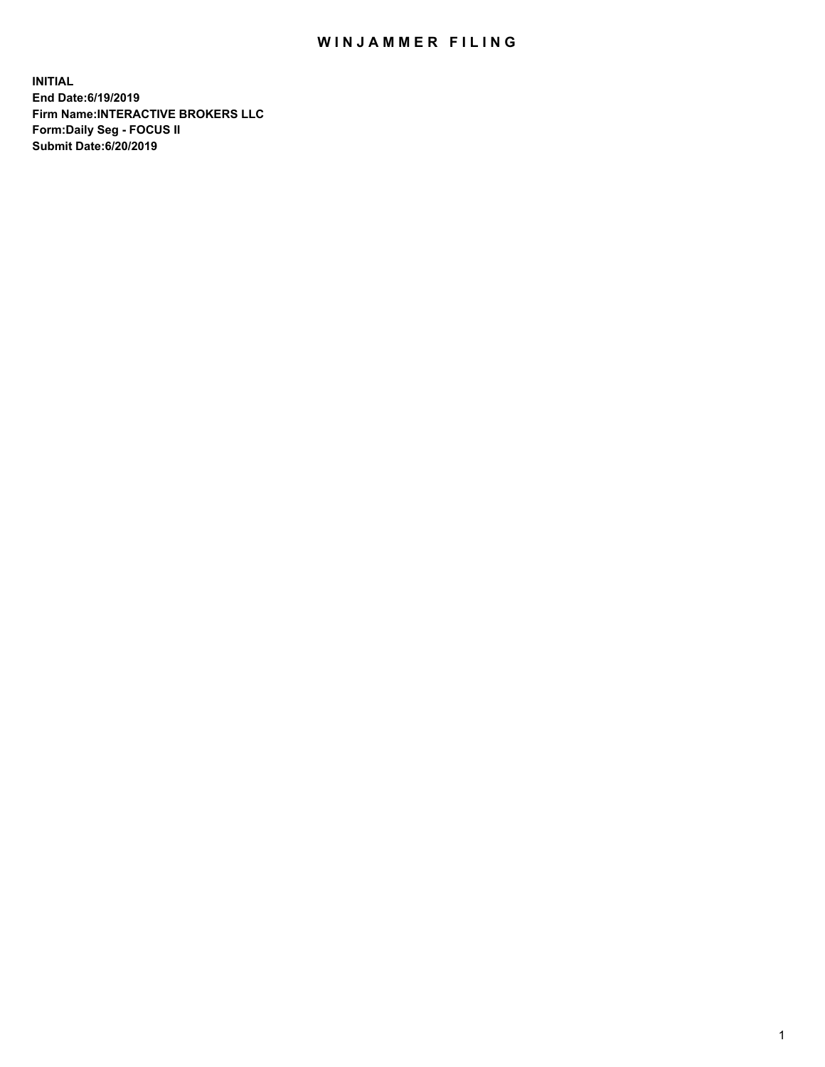## WIN JAMMER FILING

**INITIAL End Date:6/19/2019 Firm Name:INTERACTIVE BROKERS LLC Form:Daily Seg - FOCUS II Submit Date:6/20/2019**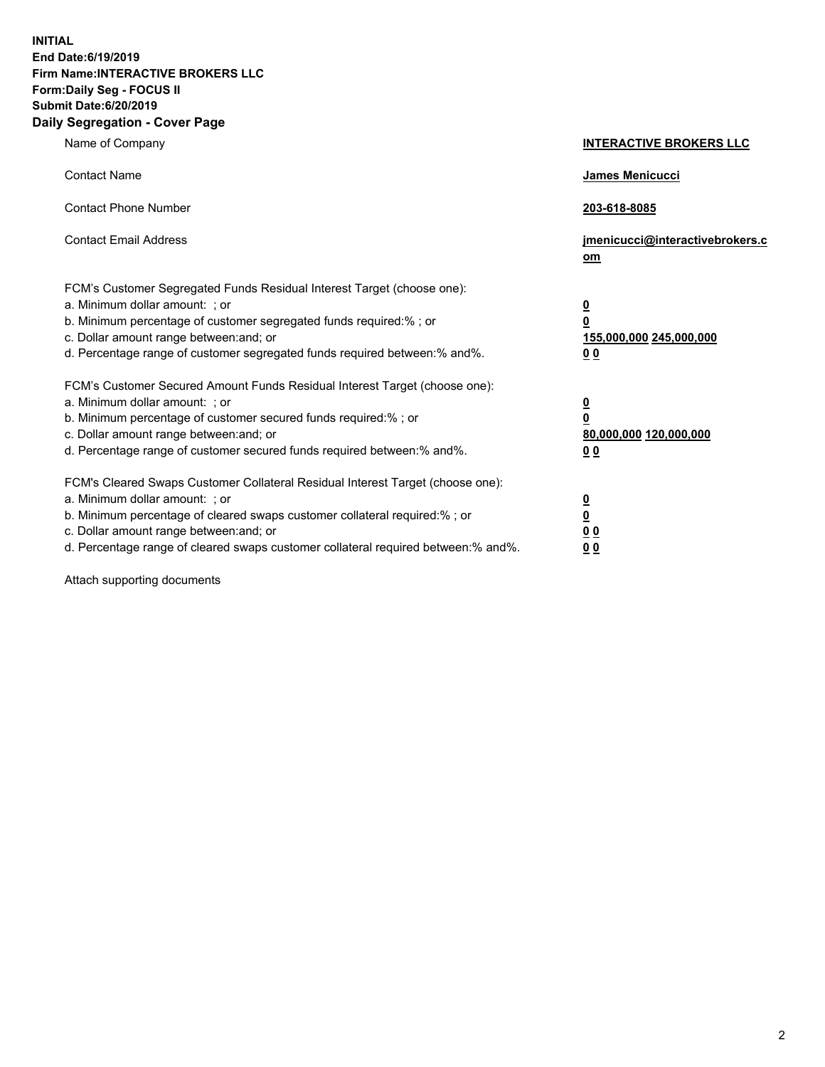**INITIAL End Date:6/19/2019 Firm Name:INTERACTIVE BROKERS LLC Form:Daily Seg - FOCUS II Submit Date:6/20/2019 Daily Segregation - Cover Page**

| Name of Company                                                                                                                                                                                                                                                                                                                | <b>INTERACTIVE BROKERS LLC</b>                                                   |
|--------------------------------------------------------------------------------------------------------------------------------------------------------------------------------------------------------------------------------------------------------------------------------------------------------------------------------|----------------------------------------------------------------------------------|
| <b>Contact Name</b>                                                                                                                                                                                                                                                                                                            | James Menicucci                                                                  |
| <b>Contact Phone Number</b>                                                                                                                                                                                                                                                                                                    | 203-618-8085                                                                     |
| <b>Contact Email Address</b>                                                                                                                                                                                                                                                                                                   | jmenicucci@interactivebrokers.c<br>om                                            |
| FCM's Customer Segregated Funds Residual Interest Target (choose one):<br>a. Minimum dollar amount: ; or<br>b. Minimum percentage of customer segregated funds required:% ; or<br>c. Dollar amount range between: and; or<br>d. Percentage range of customer segregated funds required between:% and%.                         | <u>0</u><br>$\overline{\mathbf{0}}$<br>155,000,000 245,000,000<br>0 <sub>0</sub> |
| FCM's Customer Secured Amount Funds Residual Interest Target (choose one):<br>a. Minimum dollar amount: ; or<br>b. Minimum percentage of customer secured funds required:% ; or<br>c. Dollar amount range between: and; or<br>d. Percentage range of customer secured funds required between:% and%.                           | <u>0</u><br>$\overline{\mathbf{0}}$<br>80,000,000 120,000,000<br>0 <sub>0</sub>  |
| FCM's Cleared Swaps Customer Collateral Residual Interest Target (choose one):<br>a. Minimum dollar amount: ; or<br>b. Minimum percentage of cleared swaps customer collateral required:% ; or<br>c. Dollar amount range between: and; or<br>d. Percentage range of cleared swaps customer collateral required between:% and%. | <u>0</u><br>$\underline{\mathbf{0}}$<br>0 <sub>0</sub><br>0 <sub>0</sub>         |

Attach supporting documents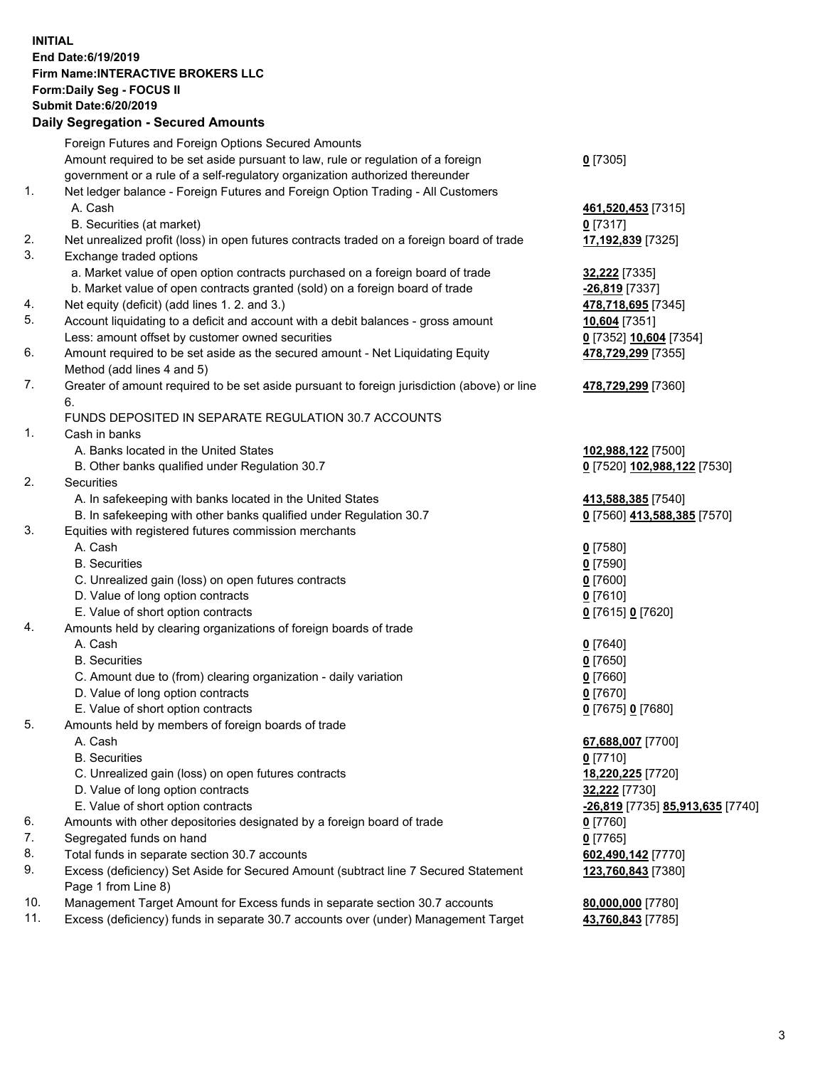## **INITIAL End Date:6/19/2019 Firm Name:INTERACTIVE BROKERS LLC Form:Daily Seg - FOCUS II Submit Date:6/20/2019 Daily Segregation - Secured Amounts**

|     | Daily Segregation - Secured Aniounts                                                        |                                  |
|-----|---------------------------------------------------------------------------------------------|----------------------------------|
|     | Foreign Futures and Foreign Options Secured Amounts                                         |                                  |
|     | Amount required to be set aside pursuant to law, rule or regulation of a foreign            | $0$ [7305]                       |
|     | government or a rule of a self-regulatory organization authorized thereunder                |                                  |
| 1.  | Net ledger balance - Foreign Futures and Foreign Option Trading - All Customers             |                                  |
|     | A. Cash                                                                                     | 461,520,453 [7315]               |
|     | B. Securities (at market)                                                                   | $0$ [7317]                       |
| 2.  | Net unrealized profit (loss) in open futures contracts traded on a foreign board of trade   | 17,192,839 [7325]                |
| 3.  | Exchange traded options                                                                     |                                  |
|     | a. Market value of open option contracts purchased on a foreign board of trade              | 32,222 [7335]                    |
|     | b. Market value of open contracts granted (sold) on a foreign board of trade                | -26,819 [7337]                   |
| 4.  | Net equity (deficit) (add lines 1.2. and 3.)                                                | 478,718,695 [7345]               |
| 5.  | Account liquidating to a deficit and account with a debit balances - gross amount           | 10,604 [7351]                    |
|     | Less: amount offset by customer owned securities                                            | 0 [7352] 10,604 [7354]           |
| 6.  | Amount required to be set aside as the secured amount - Net Liquidating Equity              | 478,729,299 [7355]               |
|     | Method (add lines 4 and 5)                                                                  |                                  |
| 7.  | Greater of amount required to be set aside pursuant to foreign jurisdiction (above) or line | 478,729,299 [7360]               |
|     | 6.                                                                                          |                                  |
|     | FUNDS DEPOSITED IN SEPARATE REGULATION 30.7 ACCOUNTS                                        |                                  |
| 1.  | Cash in banks                                                                               |                                  |
|     | A. Banks located in the United States                                                       | 102,988,122 [7500]               |
|     | B. Other banks qualified under Regulation 30.7                                              | 0 [7520] 102,988,122 [7530]      |
| 2.  | Securities                                                                                  |                                  |
|     | A. In safekeeping with banks located in the United States                                   | 413,588,385 [7540]               |
| 3.  | B. In safekeeping with other banks qualified under Regulation 30.7                          | 0 [7560] 413,588,385 [7570]      |
|     | Equities with registered futures commission merchants<br>A. Cash                            |                                  |
|     | <b>B.</b> Securities                                                                        | $0$ [7580]<br>$0$ [7590]         |
|     | C. Unrealized gain (loss) on open futures contracts                                         | $0$ [7600]                       |
|     | D. Value of long option contracts                                                           | $0$ [7610]                       |
|     | E. Value of short option contracts                                                          | 0 [7615] 0 [7620]                |
| 4.  | Amounts held by clearing organizations of foreign boards of trade                           |                                  |
|     | A. Cash                                                                                     | $0$ [7640]                       |
|     | <b>B.</b> Securities                                                                        | $0$ [7650]                       |
|     | C. Amount due to (from) clearing organization - daily variation                             | $0$ [7660]                       |
|     | D. Value of long option contracts                                                           | $0$ [7670]                       |
|     | E. Value of short option contracts                                                          | 0 [7675] 0 [7680]                |
| 5.  | Amounts held by members of foreign boards of trade                                          |                                  |
|     | A. Cash                                                                                     | 67,688,007 [7700]                |
|     | <b>B.</b> Securities                                                                        | $0$ [7710]                       |
|     | C. Unrealized gain (loss) on open futures contracts                                         | 18,220,225 [7720]                |
|     | D. Value of long option contracts                                                           | 32,222 [7730]                    |
|     | E. Value of short option contracts                                                          | -26,819 [7735] 85,913,635 [7740] |
| 6.  | Amounts with other depositories designated by a foreign board of trade                      | 0 [7760]                         |
| 7.  | Segregated funds on hand                                                                    | $0$ [7765]                       |
| 8.  | Total funds in separate section 30.7 accounts                                               | 602,490,142 [7770]               |
| 9.  | Excess (deficiency) Set Aside for Secured Amount (subtract line 7 Secured Statement         | 123,760,843 [7380]               |
|     | Page 1 from Line 8)                                                                         |                                  |
| 10. | Management Target Amount for Excess funds in separate section 30.7 accounts                 | 80,000,000 [7780]                |
| 11. | Excess (deficiency) funds in separate 30.7 accounts over (under) Management Target          | 43,760,843 [7785]                |
|     |                                                                                             |                                  |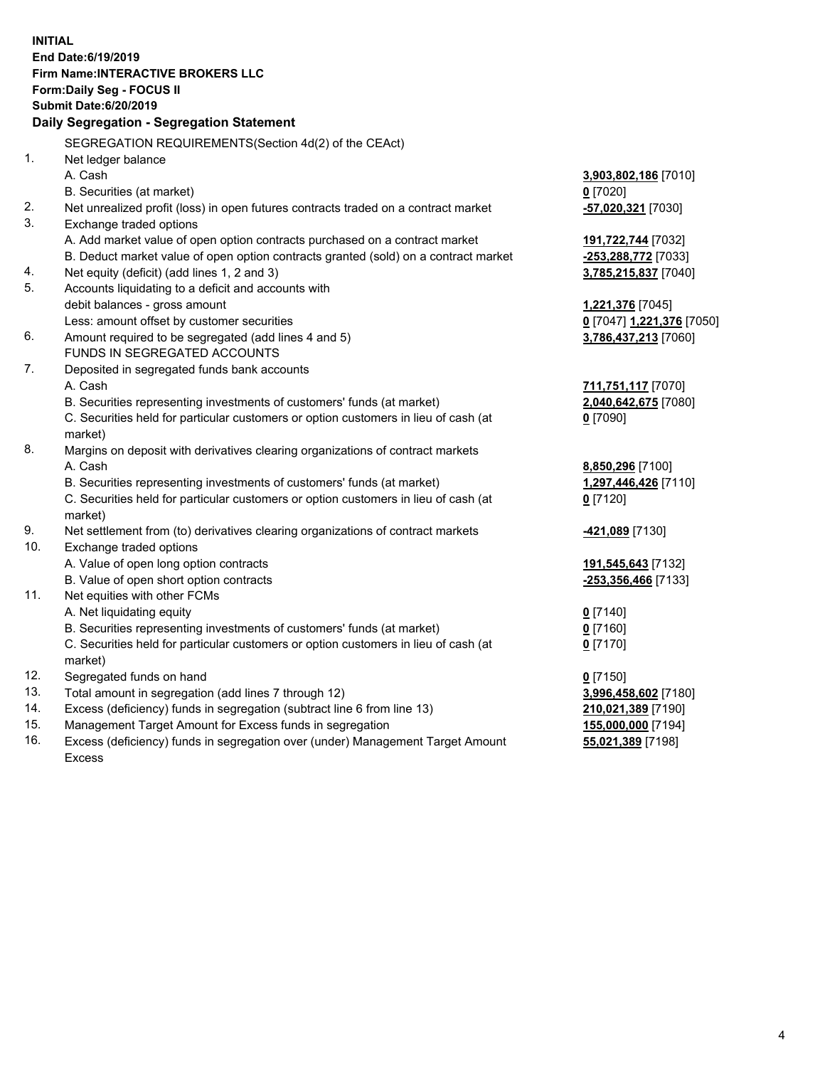**INITIAL End Date:6/19/2019 Firm Name:INTERACTIVE BROKERS LLC Form:Daily Seg - FOCUS II Submit Date:6/20/2019 Daily Segregation - Segregation Statement** SEGREGATION REQUIREMENTS(Section 4d(2) of the CEAct) 1. Net ledger balance A. Cash **3,903,802,186** [7010] B. Securities (at market) **0** [7020] 2. Net unrealized profit (loss) in open futures contracts traded on a contract market **-57,020,321** [7030] 3. Exchange traded options A. Add market value of open option contracts purchased on a contract market **191,722,744** [7032] B. Deduct market value of open option contracts granted (sold) on a contract market **-253,288,772** [7033] 4. Net equity (deficit) (add lines 1, 2 and 3) **3,785,215,837** [7040] 5. Accounts liquidating to a deficit and accounts with debit balances - gross amount **1,221,376** [7045] Less: amount offset by customer securities **0** [7047] **1,221,376** [7050] 6. Amount required to be segregated (add lines 4 and 5) **3,786,437,213** [7060] FUNDS IN SEGREGATED ACCOUNTS 7. Deposited in segregated funds bank accounts A. Cash **711,751,117** [7070] B. Securities representing investments of customers' funds (at market) **2,040,642,675** [7080] C. Securities held for particular customers or option customers in lieu of cash (at market) **0** [7090] 8. Margins on deposit with derivatives clearing organizations of contract markets A. Cash **8,850,296** [7100] B. Securities representing investments of customers' funds (at market) **1,297,446,426** [7110] C. Securities held for particular customers or option customers in lieu of cash (at market) **0** [7120] 9. Net settlement from (to) derivatives clearing organizations of contract markets **-421,089** [7130] 10. Exchange traded options A. Value of open long option contracts **191,545,643** [7132] B. Value of open short option contracts **-253,356,466** [7133] 11. Net equities with other FCMs A. Net liquidating equity **0** [7140] B. Securities representing investments of customers' funds (at market) **0** [7160] C. Securities held for particular customers or option customers in lieu of cash (at market) **0** [7170] 12. Segregated funds on hand **0** [7150] 13. Total amount in segregation (add lines 7 through 12) **3,996,458,602** [7180] 14. Excess (deficiency) funds in segregation (subtract line 6 from line 13) **210,021,389** [7190] 15. Management Target Amount for Excess funds in segregation **155,000,000** [7194]

16. Excess (deficiency) funds in segregation over (under) Management Target Amount Excess

**55,021,389** [7198]